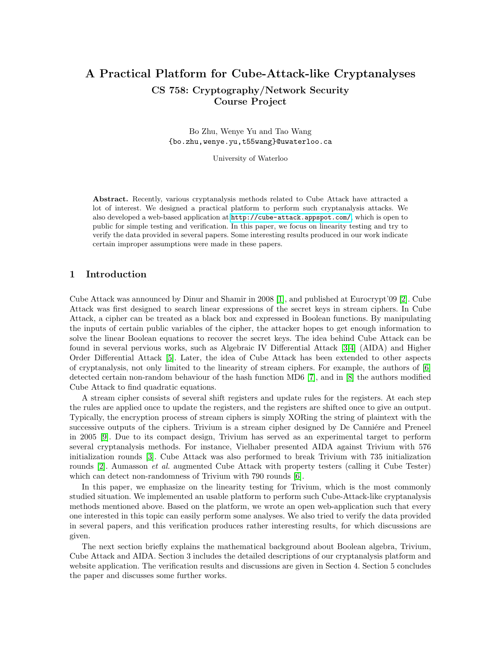# A Practical Platform for Cube-Attack-like Cryptanalyses CS 758: Cryptography/Network Security Course Project

Bo Zhu, Wenye Yu and Tao Wang {bo.zhu,wenye.yu,t55wang}@uwaterloo.ca

University of Waterloo

Abstract. Recently, various cryptanalysis methods related to Cube Attack have attracted a lot of interest. We designed a practical platform to perform such cryptanalysis attacks. We also developed a web-based application at <http://cube-attack.appspot.com/>, which is open to public for simple testing and verification. In this paper, we focus on linearity testing and try to verify the data provided in several papers. Some interesting results produced in our work indicate certain improper assumptions were made in these papers.

## 1 Introduction

Cube Attack was announced by Dinur and Shamir in 2008 [\[1\]](#page-11-0), and published at Eurocrypt'09 [\[2\]](#page-11-1). Cube Attack was first designed to search linear expressions of the secret keys in stream ciphers. In Cube Attack, a cipher can be treated as a black box and expressed in Boolean functions. By manipulating the inputs of certain public variables of the cipher, the attacker hopes to get enough information to solve the linear Boolean equations to recover the secret keys. The idea behind Cube Attack can be found in several pervious works, such as Algebraic IV Differential Attack [\[3,](#page-11-2)[4\]](#page-11-3) (AIDA) and Higher Order Differential Attack [\[5\]](#page-11-4). Later, the idea of Cube Attack has been extended to other aspects of cryptanalysis, not only limited to the linearity of stream ciphers. For example, the authors of [\[6\]](#page-11-5) detected certain non-random behaviour of the hash function MD6 [\[7\]](#page-11-6), and in [\[8\]](#page-11-7) the authors modified Cube Attack to find quadratic equations.

A stream cipher consists of several shift registers and update rules for the registers. At each step the rules are applied once to update the registers, and the registers are shifted once to give an output. Typically, the encryption process of stream ciphers is simply XORing the string of plaintext with the successive outputs of the ciphers. Trivium is a stream cipher designed by De Canniére and Preneel in 2005 [\[9\]](#page-11-8). Due to its compact design, Trivium has served as an experimental target to perform several cryptanalysis methods. For instance, Vielhaber presented AIDA against Trivium with 576 initialization rounds [\[3\]](#page-11-2). Cube Attack was also performed to break Trivium with 735 initialization rounds [\[2\]](#page-11-1). Aumasson et al. augmented Cube Attack with property testers (calling it Cube Tester) which can detect non-randomness of Trivium with 790 rounds [\[6\]](#page-11-5).

In this paper, we emphasize on the linearity testing for Trivium, which is the most commonly studied situation. We implemented an usable platform to perform such Cube-Attack-like cryptanalysis methods mentioned above. Based on the platform, we wrote an open web-application such that every one interested in this topic can easily perform some analyses. We also tried to verify the data provided in several papers, and this verification produces rather interesting results, for which discussions are given.

The next section briefly explains the mathematical background about Boolean algebra, Trivium, Cube Attack and AIDA. Section 3 includes the detailed descriptions of our cryptanalysis platform and website application. The verification results and discussions are given in Section 4. Section 5 concludes the paper and discusses some further works.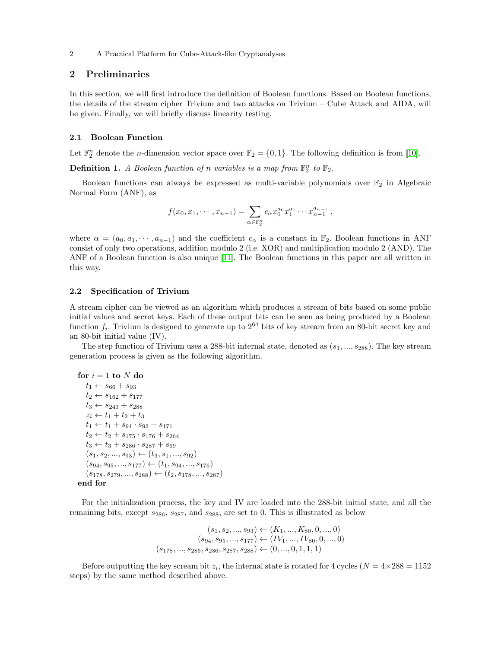## 2 Preliminaries

In this section, we will first introduce the definition of Boolean functions. Based on Boolean functions, the details of the stream cipher Trivium and two attacks on Trivium – Cube Attack and AIDA, will be given. Finally, we will briefly discuss linearity testing.

## 2.1 Boolean Function

Let  $\mathbb{F}_2^n$  denote the *n*-dimension vector space over  $\mathbb{F}_2 = \{0, 1\}$ . The following definition is from [\[10\]](#page-11-9).

**Definition 1.** A Boolean function of n variables is a map from  $\mathbb{F}_2^n$  to  $\mathbb{F}_2$ .

Boolean functions can always be expressed as multi-variable polynomials over  $\mathbb{F}_2$  in Algebraic Normal Form (ANF), as

$$
f(x_0, x_1, \cdots, x_{n-1}) = \sum_{\alpha \in \mathbb{F}_2^n} c_{\alpha} x_0^{a_0} x_1^{a_1} \cdots x_{n-1}^{a_{n-1}},
$$

where  $\alpha = (a_0, a_1, \dots, a_{n-1})$  and the coefficient  $c_{\alpha}$  is a constant in  $\mathbb{F}_2$ . Boolean functions in ANF consist of only two operations, addition modulo 2 (i.e. XOR) and multiplication modulo 2 (AND). The ANF of a Boolean function is also unique [\[11\]](#page-11-10). The Boolean functions in this paper are all written in this way.

## 2.2 Specification of Trivium

A stream cipher can be viewed as an algorithm which produces a stream of bits based on some public initial values and secret keys. Each of these output bits can be seen as being produced by a Boolean function  $f_i$ . Trivium is designed to generate up to  $2^{64}$  bits of key stream from an 80-bit secret key and an 80-bit initial value (IV).

The step function of Trivium uses a 288-bit internal state, denoted as  $(s_1, ..., s_{288})$ . The key stream generation process is given as the following algorithm.

```
for i = 1 to N do
   t_1 \leftarrow s_{66} + s_{93}t_2 \leftarrow s_{162} + s_{177}t_3 \leftarrow s_{243} + s_{288}z_i \leftarrow t_1 + t_2 + t_3t_1 \leftarrow t_1 + s_{91} \cdot s_{92} + s_{171}t_2 \leftarrow t_2 + s_{175} \cdot s_{176} + s_{264}t_3 \leftarrow t_3 + s_{286} \cdot s_{287} + s_{69}(s_1, s_2, ..., s_{93}) \leftarrow (t_3, s_1, ..., s_{92})(s_{94}, s_{95}, ..., s_{177}) \leftarrow (t_1, s_{94}, ..., s_{176})(s_{178}, s_{279}, ..., s_{288}) \leftarrow (t_2, s_{178}, ..., s_{287})end for
```
For the initialization process, the key and IV are loaded into the 288-bit initial state, and all the remaining bits, except  $s_{286}$ ,  $s_{287}$ , and  $s_{288}$ , are set to 0. This is illustrated as below

$$
(s_1, s_2, ..., s_{93}) \leftarrow (K_1, ..., K_{80}, 0, ..., 0)
$$
  

$$
(s_{94}, s_{95}, ..., s_{177}) \leftarrow (IV_1, ..., IV_{80}, 0, ..., 0)
$$
  

$$
(s_{178}, ..., s_{285}, s_{286}, s_{287}, s_{288}) \leftarrow (0, ..., 0, 1, 1, 1)
$$

Before outputting the key scream bit  $z_i$ , the internal state is rotated for 4 cycles ( $N = 4 \times 288 = 1152$ steps) by the same method described above.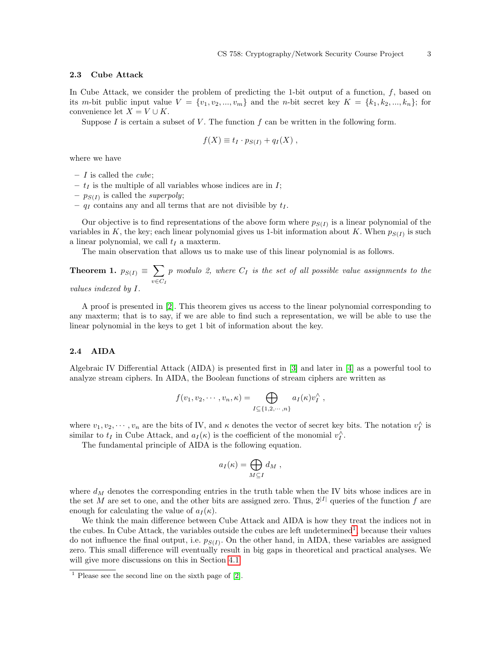## 2.3 Cube Attack

In Cube Attack, we consider the problem of predicting the 1-bit output of a function, f, based on its m-bit public input value  $V = \{v_1, v_2, ..., v_m\}$  and the n-bit secret key  $K = \{k_1, k_2, ..., k_n\}$ ; for convenience let  $X = V \cup K$ .

Suppose I is certain a subset of V. The function  $f$  can be written in the following form.

$$
f(X) \equiv t_I \cdot p_{S(I)} + q_I(X) ,
$$

where we have

- $I$  is called the *cube*;
- $t_I$  is the multiple of all variables whose indices are in  $I$ ;
- $p_{S(I)}$  is called the *superpoly*;
- $q_I$  contains any and all terms that are not divisible by  $t_I$ .

Our objective is to find representations of the above form where  $p_{S(I)}$  is a linear polynomial of the variables in K, the key; each linear polynomial gives us 1-bit information about K. When  $p_{S(I)}$  is such a linear polynomial, we call  $t_I$  a maxterm.

The main observation that allows us to make use of this linear polynomial is as follows.

Theorem 1.  $p_{S(I)} \equiv \sum$  $v \in C_I$  $p$  modulo 2, where  $C_I$  is the set of all possible value assignments to the

values indexed by I.

A proof is presented in [\[2\]](#page-11-1). This theorem gives us access to the linear polynomial corresponding to any maxterm; that is to say, if we are able to find such a representation, we will be able to use the linear polynomial in the keys to get 1 bit of information about the key.

## <span id="page-2-1"></span>2.4 AIDA

Algebraic IV Differential Attack (AIDA) is presented first in [\[3\]](#page-11-2) and later in [\[4\]](#page-11-3) as a powerful tool to analyze stream ciphers. In AIDA, the Boolean functions of stream ciphers are written as

$$
f(v_1, v_2, \cdots, v_n, \kappa) = \bigoplus_{I \subseteq \{1, 2, \cdots, n\}} a_I(\kappa) v_I^{\wedge} ,
$$

where  $v_1, v_2, \dots, v_n$  are the bits of IV, and  $\kappa$  denotes the vector of secret key bits. The notation  $v_I^{\wedge}$  is similar to  $t_I$  in Cube Attack, and  $a_I(\kappa)$  is the coefficient of the monomial  $v_I^{\wedge}$ .

The fundamental principle of AIDA is the following equation.

$$
a_I(\kappa) = \bigoplus_{M \subseteq I} d_M \;,
$$

where  $d_M$  denotes the corresponding entries in the truth table when the IV bits whose indices are in the set M are set to one, and the other bits are assigned zero. Thus,  $2^{|I|}$  queries of the function f are enough for calculating the value of  $a_I(\kappa)$ .

We think the main difference between Cube Attack and AIDA is how they treat the indices not in the cubes. In Cube Attack, the variables outside the cubes are left undetermined<sup>[1](#page-2-0)</sup>, because their values do not influence the final output, i.e.  $p_{S(I)}$ . On the other hand, in AIDA, these variables are assigned zero. This small difference will eventually result in big gaps in theoretical and practical analyses. We will give more discussions on this in Section [4.1.](#page-6-0)

<span id="page-2-0"></span> $<sup>1</sup>$  Please see the second line on the sixth page of [\[2\]](#page-11-1).</sup>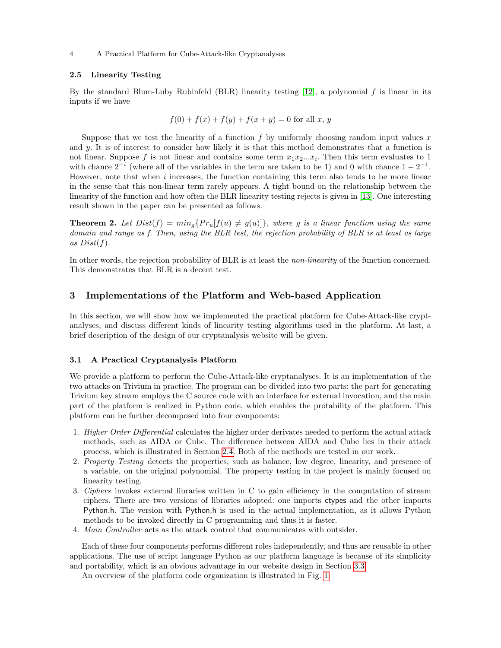## <span id="page-3-0"></span>2.5 Linearity Testing

By the standard Blum-Luby Rubinfeld (BLR) linearity testing  $[12]$ , a polynomial f is linear in its inputs if we have

$$
f(0) + f(x) + f(y) + f(x + y) = 0
$$
 for all x, y

Suppose that we test the linearity of a function f by uniformly choosing random input values  $x$ and  $\gamma$ . It is of interest to consider how likely it is that this method demonstrates that a function is not linear. Suppose f is not linear and contains some term  $x_1x_2...x_i$ . Then this term evaluates to 1 with chance  $2^{-i}$  (where all of the variables in the term are taken to be 1) and 0 with chance  $1 - 2^{-1}$ . However, note that when  $i$  increases, the function containing this term also tends to be more linear in the sense that this non-linear term rarely appears. A tight bound on the relationship between the linearity of the function and how often the BLR linearity testing rejects is given in [\[13\]](#page-11-12). One interesting result shown in the paper can be presented as follows.

**Theorem 2.** Let  $Dist(f) = min_q\{Pr_u[f(u) \neq g(u)]\}$ , where g is a linear function using the same domain and range as f. Then, using the BLR test, the rejection probability of BLR is at least as large as  $Dist(f)$ .

In other words, the rejection probability of BLR is at least the *non-linearity* of the function concerned. This demonstrates that BLR is a decent test.

## 3 Implementations of the Platform and Web-based Application

In this section, we will show how we implemented the practical platform for Cube-Attack-like cryptanalyses, and discuss different kinds of linearity testing algorithms used in the platform. At last, a brief description of the design of our cryptanalysis website will be given.

## 3.1 A Practical Cryptanalysis Platform

We provide a platform to perform the Cube-Attack-like cryptanalyses. It is an implementation of the two attacks on Trivium in practice. The program can be divided into two parts: the part for generating Trivium key stream employs the C source code with an interface for external invocation, and the main part of the platform is realized in Python code, which enables the protability of the platform. This platform can be further decomposed into four components:

- 1. Higher Order Differential calculates the higher order derivates needed to perform the actual attack methods, such as AIDA or Cube. The difference between AIDA and Cube lies in their attack process, which is illustrated in Section [2.4.](#page-2-1) Both of the methods are tested in our work.
- 2. Property Testing detects the properties, such as balance, low degree, linearity, and presence of a variable, on the original polynomial. The property testing in the project is mainly focused on linearity testing.
- 3. Ciphers invokes external libraries written in C to gain efficiency in the computation of stream ciphers. There are two versions of libraries adopted: one imports ctypes and the other imports Python.h. The version with Python.h is used in the actual implementation, as it allows Python methods to be invoked directly in C programming and thus it is faster.
- 4. Main Controller acts as the attack control that communicates with outsider.

Each of these four components performs different roles independently, and thus are reusable in other applications. The use of script language Python as our platform language is because of its simplicity and portability, which is an obvious advantage in our website design in Section [3.3.](#page-5-0)

An overview of the platform code organization is illustrated in Fig. [1.](#page-4-0)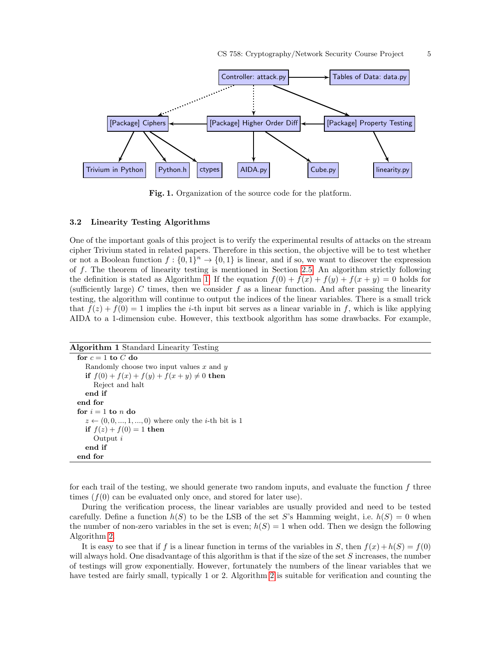

<span id="page-4-0"></span>Fig. 1. Organization of the source code for the platform.

#### 3.2 Linearity Testing Algorithms

One of the important goals of this project is to verify the experimental results of attacks on the stream cipher Trivium stated in related papers. Therefore in this section, the objective will be to test whether or not a Boolean function  $f: \{0,1\}^n \to \{0,1\}$  is linear, and if so, we want to discover the expression of f. The theorem of linearity testing is mentioned in Section [2.5.](#page-3-0) An algorithm strictly following the definition is stated as Algorithm [1.](#page-4-1) If the equation  $f(0) + f(x) + f(y) + f(x + y) = 0$  holds for (sufficiently large) C times, then we consider f as a linear function. And after passing the linearity testing, the algorithm will continue to output the indices of the linear variables. There is a small trick that  $f(z) + f(0) = 1$  implies the *i*-th input bit serves as a linear variable in f, which is like applying AIDA to a 1-dimension cube. However, this textbook algorithm has some drawbacks. For example,

<span id="page-4-1"></span>Algorithm 1 Standard Linearity Testing for  $c = 1$  to  $C$  do Randomly choose two input values  $x$  and  $y$ if  $f(0) + f(x) + f(y) + f(x + y) \neq 0$  then Reject and halt end if end for for  $i = 1$  to n do  $z \leftarrow (0, 0, ..., 1, ..., 0)$  where only the *i*-th bit is 1 if  $f(z) + f(0) = 1$  then Output i end if end for

for each trail of the testing, we should generate two random inputs, and evaluate the function f three times  $(f(0))$  can be evaluated only once, and stored for later use).

During the verification process, the linear variables are usually provided and need to be tested carefully. Define a function  $h(S)$  to be the LSB of the set S's Hamming weight, i.e.  $h(S) = 0$  when the number of non-zero variables in the set is even;  $h(S) = 1$  when odd. Then we design the following Algorithm [2.](#page-5-1)

It is easy to see that if f is a linear function in terms of the variables in S, then  $f(x) + h(S) = f(0)$ will always hold. One disadvantage of this algorithm is that if the size of the set S increases, the number of testings will grow exponentially. However, fortunately the numbers of the linear variables that we have tested are fairly small, typically 1 or 2. Algorithm [2](#page-5-1) is suitable for verification and counting the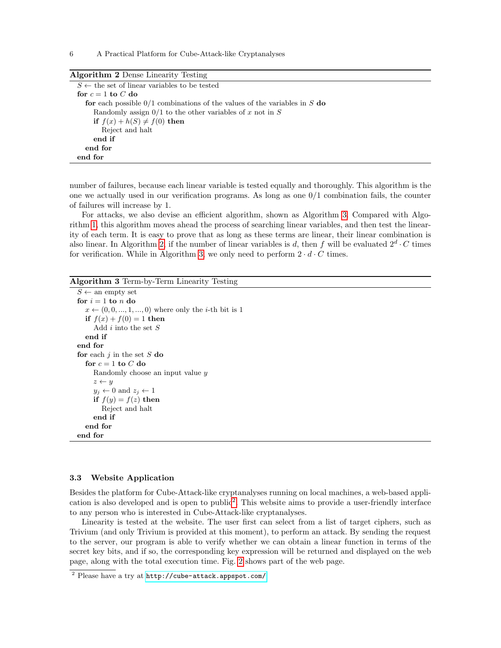6 A Practical Platform for Cube-Attack-like Cryptanalyses

<span id="page-5-1"></span>

| <b>Algorithm 2</b> Dense Linearity Testing                                  |
|-----------------------------------------------------------------------------|
| $S \leftarrow$ the set of linear variables to be tested                     |
| for $c = 1$ to C do                                                         |
| for each possible $0/1$ combinations of the values of the variables in S do |
| Randomly assign $0/1$ to the other variables of x not in S                  |
| if $f(x) + h(S) \neq f(0)$ then                                             |
| Reject and halt                                                             |
| end if                                                                      |
| end for                                                                     |
| end for                                                                     |

number of failures, because each linear variable is tested equally and thoroughly. This algorithm is the one we actually used in our verification programs. As long as one 0/1 combination fails, the counter of failures will increase by 1.

For attacks, we also devise an efficient algorithm, shown as Algorithm [3.](#page-5-2) Compared with Algorithm [1,](#page-4-1) this algorithm moves ahead the process of searching linear variables, and then test the linearity of each term. It is easy to prove that as long as these terms are linear, their linear combination is also linear. In Algorithm [2,](#page-5-1) if the number of linear variables is d, then f will be evaluated  $2^d \cdot C$  times for verification. While in Algorithm [3,](#page-5-2) we only need to perform  $2 \cdot d \cdot C$  times.

<span id="page-5-2"></span>Algorithm 3 Term-by-Term Linearity Testing

```
S \leftarrow an empty set
for i = 1 to n do
  x \leftarrow (0, 0, ..., 1, ..., 0) where only the i-th bit is 1
  if f(x) + f(0) = 1 then
     Add i into the set Send if
end for
for each j in the set S do
  for c = 1 to C do
     Randomly choose an input value y
     z \leftarrow yy_j \leftarrow 0 and z_j \leftarrow 1if f(y) = f(z) then
        Reject and halt
     end if
  end for
end for
```
## <span id="page-5-0"></span>3.3 Website Application

Besides the platform for Cube-Attack-like cryptanalyses running on local machines, a web-based appli-cation is also developed and is open to public<sup>[2](#page-5-3)</sup>. This website aims to provide a user-friendly interface to any person who is interested in Cube-Attack-like cryptanalyses.

Linearity is tested at the website. The user first can select from a list of target ciphers, such as Trivium (and only Trivium is provided at this moment), to perform an attack. By sending the request to the server, our program is able to verify whether we can obtain a linear function in terms of the secret key bits, and if so, the corresponding key expression will be returned and displayed on the web page, along with the total execution time. Fig. [2](#page-6-1) shows part of the web page.

<span id="page-5-3"></span><sup>2</sup> Please have a try at <http://cube-attack.appspot.com/>.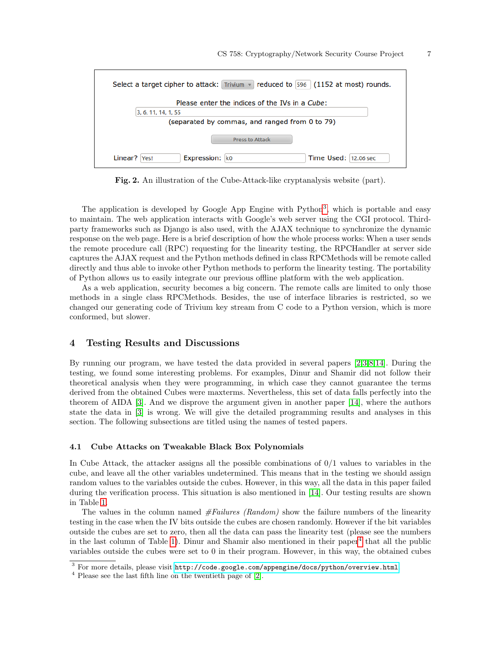| Select a target cipher to attack: Trivium $\sqrt{ }$ reduced to 596 (1152 at most) rounds. |  |  |  |  |
|--------------------------------------------------------------------------------------------|--|--|--|--|
| Please enter the indices of the IVs in a Cube:                                             |  |  |  |  |
| 3, 6, 11, 14, 1, 55                                                                        |  |  |  |  |
| (separated by commas, and ranged from 0 to 79)                                             |  |  |  |  |
| Press to Attack                                                                            |  |  |  |  |
| Expression: ko<br>Time Used: 12.06 sec<br>Linear?   Yes!                                   |  |  |  |  |

<span id="page-6-1"></span>Fig. 2. An illustration of the Cube-Attack-like cryptanalysis website (part).

The application is developed by Google App Engine with Python<sup>[3](#page-6-2)</sup>, which is portable and easy to maintain. The web application interacts with Google's web server using the CGI protocol. Thirdparty frameworks such as Django is also used, with the AJAX technique to synchronize the dynamic response on the web page. Here is a brief description of how the whole process works: When a user sends the remote procedure call (RPC) requesting for the linearity testing, the RPCHandler at server side captures the AJAX request and the Python methods defined in class RPCMethods will be remote called directly and thus able to invoke other Python methods to perform the linearity testing. The portability of Python allows us to easily integrate our previous offline platform with the web application.

As a web application, security becomes a big concern. The remote calls are limited to only those methods in a single class RPCMethods. Besides, the use of interface libraries is restricted, so we changed our generating code of Trivium key stream from C code to a Python version, which is more conformed, but slower.

## 4 Testing Results and Discussions

By running our program, we have tested the data provided in several papers [\[2,](#page-11-1)[3](#page-11-2)[,8,](#page-11-7)[14\]](#page-11-13). During the testing, we found some interesting problems. For examples, Dinur and Shamir did not follow their theoretical analysis when they were programming, in which case they cannot guarantee the terms derived from the obtained Cubes were maxterms. Nevertheless, this set of data falls perfectly into the theorem of AIDA [\[3\]](#page-11-2). And we disprove the argument given in another paper [\[14\]](#page-11-13), where the authors state the data in [\[3\]](#page-11-2) is wrong. We will give the detailed programming results and analyses in this section. The following subsections are titled using the names of tested papers.

#### <span id="page-6-0"></span>4.1 Cube Attacks on Tweakable Black Box Polynomials

In Cube Attack, the attacker assigns all the possible combinations of  $0/1$  values to variables in the cube, and leave all the other variables undetermined. This means that in the testing we should assign random values to the variables outside the cubes. However, in this way, all the data in this paper failed during the verification process. This situation is also mentioned in [\[14\]](#page-11-13). Our testing results are shown in Table [1.](#page-7-0)

The values in the column named  $#Failures (Random)$  show the failure numbers of the linearity testing in the case when the IV bits outside the cubes are chosen randomly. However if the bit variables outside the cubes are set to zero, then all the data can pass the linearity test (please see the numbers in the last column of Table [1\)](#page-7-0). Dinur and Shamir also mentioned in their paper<sup>[4](#page-6-3)</sup> that all the public variables outside the cubes were set to 0 in their program. However, in this way, the obtained cubes

<span id="page-6-2"></span><sup>&</sup>lt;sup>3</sup> For more details, please visit <http://code.google.com/appengine/docs/python/overview.html>.

<span id="page-6-3"></span> $4$  Please see the last fifth line on the twentieth page of  $[2]$ .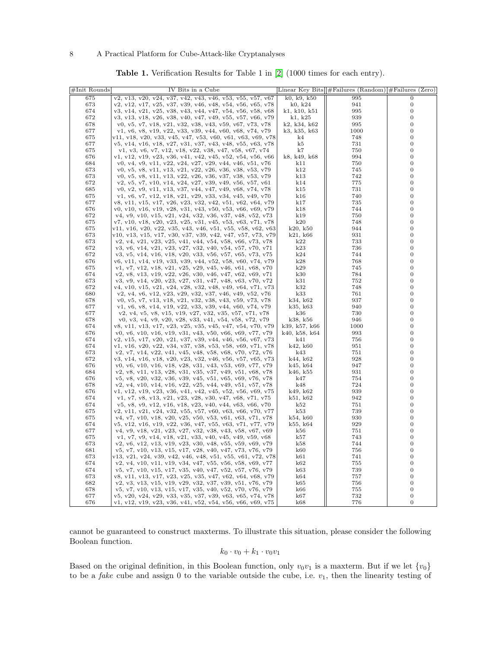<span id="page-7-0"></span>

| <b>Table 1.</b> Verification Results for Table 1 in $[2]$ (1000 times for each entry). |  |  |  |  |  |
|----------------------------------------------------------------------------------------|--|--|--|--|--|
|----------------------------------------------------------------------------------------|--|--|--|--|--|

| $#Init$ Rounds | IV Bits in a Cube                                          |               | Linear Key Bits $\ \#$ Failures (Random) $\#$ Failures | (Zero)                             |
|----------------|------------------------------------------------------------|---------------|--------------------------------------------------------|------------------------------------|
| 675            | v2, v13, v20, v24, v37, v42, v43, v46, v53, v55, v57, v67  | k0, k9, k50   | 995                                                    | $\Omega$                           |
| 673            | v2, v12, v17, v25, v37, v39, v46, v48, v54, v56, v65, v78  | k0, k24       | 941                                                    | 0                                  |
| 674            | v3, v14, v21, v25, v38, v43, v44, v47, v54, v56, v58, v68  | k1, k10, k51  | 995                                                    | $\boldsymbol{0}$                   |
| 672            | v3, v13, v18, v26, v38, v40, v47, v49, v55, v57, v66, v79  | k1, k25       | 939                                                    | $\boldsymbol{0}$                   |
| 678            | v0, v5, v7, v18, v21, v32, v38, v43, v59, v67, v73, v78    | k2, k34, k62  | 995                                                    | $\boldsymbol{0}$                   |
| 677            | v1, v6, v8, v19, v22, v33, v39, v44, v60, v68, v74, v79    | k3, k35, k63  | 1000                                                   | $\boldsymbol{0}$                   |
|                |                                                            |               |                                                        |                                    |
| 675            | v11, v18, v20, v33, v45, v47, v53, v60, v61, v63, v69, v78 | k4            | 748                                                    | $\boldsymbol{0}$                   |
| 677            | v5, v14, v16, v18, v27, v31, v37, v43, v48, v55, v63, v78  | k5            | 731                                                    | $\boldsymbol{0}$                   |
| 675            | v1, v3, v6, v7, v12, v18, v22, v38, v47, v58, v67, v74     | k7            | 750                                                    | $\boldsymbol{0}$                   |
| 676            | v1, v12, v19, v23, v36, v41, v42, v45, v52, v54, v56, v66  | k8, k49, k68  | 994                                                    | $\boldsymbol{0}$                   |
| 684            | v0, v4, v9, v11, v22, v24, v27, v29, v44, v46, v51, v76    | k11           | 750                                                    | $\boldsymbol{0}$                   |
| 673            | v0, v5, v8, v11, v13, v21, v22, v26, v36, v38, v53, v79    | k12           | 745                                                    | $\boldsymbol{0}$                   |
| 673            | v0, v5, v8, v11, v13, v22, v26, v36, v37, v38, v53, v79    | k13           | 742                                                    | $\overline{0}$                     |
| 672            | v2, v5, v7, v10, v14, v24, v27, v39, v49, v56, v57, v61    | k14           | 775                                                    | $\boldsymbol{0}$                   |
| 685            | v0, v2, v9, v11, v13, v37, v44, v47, v49, v68, v74, v78    | k15           | 731                                                    | $\boldsymbol{0}$                   |
| 675            | v1, v6, v7, v12, v18, v21, v29, v33, v34, v45, v49, v70    | k16           | 740                                                    | $\overline{0}$                     |
| 677            | v8, v11, v15, v17, v26, v23, v32, v42, v51, v62, v64, v79  | k17           | 735                                                    | $\overline{0}$                     |
| 676            | v0, v10, v16, v19, v28, v31, v43, v50, v53, v66, v69, v79  | k18           | 744                                                    | $\boldsymbol{0}$                   |
| 672            | v4, v9, v10, v15, v21, v24, v32, v36, v37, v48, v52, v73   | k19           | 750                                                    | $\overline{0}$                     |
| 675            | v7, v10, v18, v20, v23, v25, v31, v45, v53, v63, v71, v78  | k20           | 748                                                    | $\boldsymbol{0}$                   |
| 675            | v11, v16, v20, v22, v35, v43, v46, v51, v55, v58, v62, v63 | k20, k50      | 944                                                    | $\overline{0}$                     |
| 673            | v10, v13, v15, v17, v30, v37, v39, v42, v47, v57, v73, v79 | k21, k66      | 931                                                    | $\boldsymbol{0}$                   |
| 673            |                                                            | k22           | 733                                                    | $\overline{0}$                     |
|                | v2, v4, v21, v23, v25, v41, v44, v54, v58, v66, v73, v78   |               |                                                        | $\boldsymbol{0}$                   |
| 672            | v3, v6, v14, v21, v23, v27, v32, v40, v54, v57, v70, v71   | k23           | 736                                                    |                                    |
| 672            | v3, v5, v14, v16, v18, v20, v33, v56, v57, v65, v73, v75   | k24           | 744                                                    | $\boldsymbol{0}$                   |
| 676            | v6, v11, v14, v19, v33, v39, v44, v52, v58, v60, v74, v79  | k28           | 768                                                    | $\overline{0}$                     |
| 675            | v1, v7, v12, v18, v21, v25, v29, v45, v46, v61, v68, v70   | k29           | 745                                                    | $\overline{0}$                     |
| 674            | v2, v8, v13, v19, v22, v26, v30, v46, v47, v62, v69, v71   | k30           | 784                                                    | $\boldsymbol{0}$                   |
| 673            | v3, v9, v14, v20, v23, v27, v31, v47, v48, v63, v70, v72   | k31           | 752                                                    | $\boldsymbol{0}$                   |
| 672            | v4, v10, v15, v21, v24, v28, v32, v48, v49, v64, v71, v73  | k32           | 748                                                    | $\boldsymbol{0}$                   |
| 680            | v2, v4, v6, v12, v23, v29, v32, v37, v46, v49, v52, v76    | k33           | 761                                                    | $\overline{0}$                     |
| 678            | v0, v5, v7, v13, v18, v21, v32, v38, v43, v59, v73, v78    | k34, k62      | 937                                                    | $\overline{0}$                     |
| 677            | v1, v6, v8, v14, v19, v22, v33, v39, v44, v60, v74, v79    | k35, k63      | 940                                                    | $\boldsymbol{0}$                   |
| 677            | v2, v4, v5, v8, v15, v19, v27, v32, v35, v57, v71, v78     | k36           | 730                                                    | $\boldsymbol{0}$                   |
| 678            | v0, v3, v4, v9, v20, v28, v33, v41, v54, v58, v72, v79     | k38, k56      | 946                                                    | $\overline{0}$                     |
| 674            | v8, v11, v13, v17, v23, v25, v35, v45, v47, v54, v70, v79  | k39, k57, k66 | 1000                                                   | $\overline{0}$                     |
| 676            | v0, v6, v10, v16, v19, v31, v43, v50, v66, v69, v77, v79   | k40, k58, k64 | 993                                                    | $\boldsymbol{0}$                   |
| 674            | v2, v15, v17, v20, v21, v37, v39, v44, v46, v56, v67, v73  | k41           | 756                                                    | $\boldsymbol{0}$                   |
| 674            | v1, v16, v20, v22, v34, v37, v38, v53, v58, v69, v71, v78  | k42, k60      | 951                                                    | $\boldsymbol{0}$                   |
| 673            | v2, v7, v14, v22, v41, v45, v48, v58, v68, v70, v72, v76   | k43           | 751                                                    | $\overline{0}$                     |
| 672            | v3, v14, v16, v18, v20, v23, v32, v46, v56, v57, v65, v73  | k44, k62      | 928                                                    | $\boldsymbol{0}$                   |
| 676            | v0, v6, v10, v16, v18, v28, v31, v43, v53, v69, v77, v79   | k45, k64      | 947                                                    | $\overline{0}$                     |
| 684            | v2, v8, v11, v13, v28, v31, v35, v37, v49, v51, v68, v78   | k46, k55      | 931                                                    | $\boldsymbol{0}$                   |
| 676            | v5, v8, v20, v32, v36, v39, v45, v51, v65, v69, v76, v78   | k47           | 754                                                    | $\boldsymbol{0}$                   |
| 678            | v2, v4, v10, v14, v16, v22, v25, v44, v49, v51, v57, v78   | k48           | 724                                                    | $\overline{0}$                     |
| 676            | v1, v12, v19, v23, v36, v41, v42, v45, v52, v56, v69, v75  | k49, k62      | 939                                                    | $\boldsymbol{0}$                   |
| 674            | v1, v7, v8, v13, v21, v23, v28, v30, v47, v68, v71, v75    | k51, k62      | 942                                                    | $\boldsymbol{0}$                   |
| 674            | v5, v8, v9, v12, v16, v18, v23, v40, v44, v63, v66, v70    | k52           | 751                                                    | $\boldsymbol{0}$                   |
| 675            | v2, v11, v21, v24, v32, v55, v57, v60, v63, v66, v70, v77  | k53           | 739                                                    | $\boldsymbol{0}$                   |
| 675            | v4, v7, v10, v18, v20, v25, v50, v53, v61, v63, v71, v78   | k54, k60      | 930                                                    | $\overline{0}$                     |
| 674            | v5, v12, v16, v19, v22, v36, v47, v55, v63, v71, v77, v79  | k55, k64      | 929                                                    | $\boldsymbol{0}$                   |
| 677            | v4, v9, v18, v21, v23, v27, v32, v38, v43, v58, v67, v69   | k56           | 751                                                    | $\mathbf{0}$                       |
| 675            | v1, v7, v9, v14, v18, v21, v33, v40, v45, v49, v59, v68    | k57           | 743                                                    | $\boldsymbol{0}$                   |
| 673            | v2, v6, v12, v13, v19, v23, v30, v48, v55, v59, v69, v79   | k58           | 744                                                    | $\mathbf{0}$                       |
| 681            | v5, v7, v10, v13, v15, v17, v28, v40, v47, v73, v76, v79   | k60           | 756                                                    | $\overline{0}$                     |
| 673            | v13, v21, v24, v39, v42, v46, v48, v51, v55, v61, v72, v78 | k61           | 741                                                    | $\mathbf{0}$                       |
| 674            | v2, v4, v10, v11, v19, v34, v47, v55, v56, v58, v69, v77   | k62           | 755                                                    | $\boldsymbol{0}$                   |
|                |                                                            |               |                                                        |                                    |
| 674            | v5, v7, v10, v15, v17, v35, v40, v47, v52, v57, v76, v79   | k63           | 739                                                    | $\boldsymbol{0}$<br>$\overline{0}$ |
| 673            | v8, v11, v13, v17, v23, v25, v35, v47, v62, v64, v68, v79  | k64           | 757                                                    |                                    |
| 682            | v2, v3, v13, v15, v19, v29, v32, v37, v39, v51, v76, v79   | k65           | 756                                                    | $\boldsymbol{0}$                   |
| 678            | v5, v7, v10, v13, v15, v17, v35, v40, v52, v70, v76, v79   | k66           | 755                                                    | $\boldsymbol{0}$                   |
| 677            | v5, v20, v24, v29, v33, v35, v37, v39, v63, v65, v74, v78  | k67           | 732                                                    | $\boldsymbol{0}$                   |
| 676            | v1, v12, v19, v23, v36, v41, v52, v54, v56, v66, v69, v75  | k68           | 776                                                    | $\overline{0}$                     |

cannot be guaranteed to construct maxterms. To illustrate this situation, please consider the following Boolean function.

$$
k_0\cdot v_0+k_1\cdot v_0v_1
$$

Based on the original definition, in this Boolean function, only  $v_0v_1$  is a maxterm. But if we let  $\{v_0\}$ to be a *fake* cube and assign 0 to the variable outside the cube, i.e.  $v_1$ , then the linearity testing of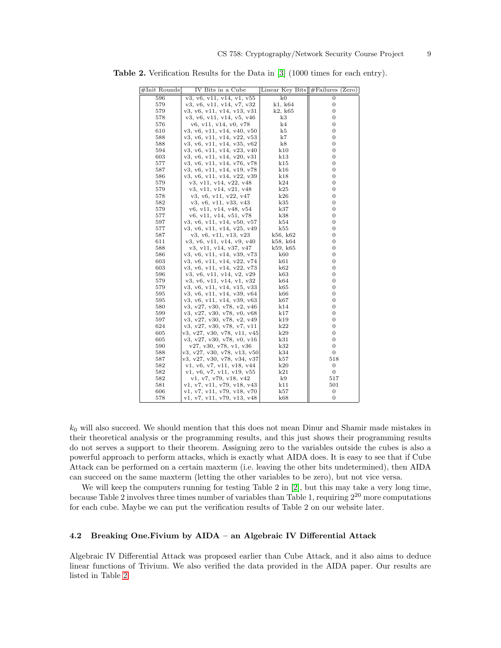<span id="page-8-0"></span>

| #Init Rounds | IV Bits in a Cube           | Linear Key Bits $\ \#$ Failures | (Zero)           |
|--------------|-----------------------------|---------------------------------|------------------|
| 596          | v3, v6, v11, v14, v1, v55   | k0                              | $\Omega$         |
| 579          | v3, v6, v11, v14, v7, v32   | k1, k64                         | 0                |
| 579          | v3, v6, v11, v14, v13, v31  | k2, k65                         | 0                |
| 578          | v3, v6, v11, v14, v5, v46   | k3                              | 0                |
| 576          | v6, v11, v14, v0, v78       | k4                              | 0                |
| 610          | v3, v6, v11, v14, v40, v50  | k5                              | 0                |
| 588          | v3, v6, v11, v14, v22, v53  | k7                              | $\boldsymbol{0}$ |
| 588          | v3, v6, v11, v14, v35, v62  | k8                              | 0                |
| 594          | v3, v6, v11, v14, v23, v40  | k10                             | 0                |
| 603          | v3, v6, v11, v14, v20, v31  | k13                             | 0                |
| 577          | v3, v6, v11, v14, v76, v78  | k15                             | 0                |
| 587          | v3, v6, v11, v14, v19, v78  | k16                             | 0                |
| 586          | v3, v6, v11, v14, v22, v39  | k18                             | 0                |
| 579          | v3, v11, v14, v22, v48      | k24                             | 0                |
| 579          | v3, v11, v14, v21, v48      | k25                             | 0                |
| 578          | v3, v6, v11, v22, v47       | k26                             | 0                |
| 582          | v3, v6, v11, v33, v43       | k35                             | 0                |
| 579          | v6, v11, v14, v48, v54      | k37                             | 0                |
| 577          | v6, v11, v14, v51, v78      | k38                             | $\boldsymbol{0}$ |
| 597          | v3, v6, v11, v14, v50, v57  | k54                             | 0                |
| 577          | v3, v6, v11, v14, v25, v49  | k55                             | 0                |
| 587          | v3, v6, v11, v13, v23       | k56, k62                        | 0                |
| 611          | v3, v6, v11, v14, v9, v40   | k58, k64                        | 0                |
| 588          | v3, v11, v14, v37, v47      | k59, k65                        | 0                |
| 586          | v3, v6, v11, v14, v39, v73  | k60                             | $\overline{0}$   |
| 603          | v3, v6, v11, v14, v22, v74  | k61                             | 0                |
| 603          | v3, v6, v11, v14, v22, v73  | k62                             | $\boldsymbol{0}$ |
| 596          | v3, v6, v11, v14, v2, v29   | k63                             | 0                |
| 579          | v3, v6, v11, v14, v1, v32   | k64                             | 0                |
| 579          | v3, v6, v11, v14, v15, v33  | k65                             | 0                |
| 595          | v3, v6, v11, v14, v39, v64  | k66                             | 0                |
| 595          | v3, v6, v11, v14, v39, v63  | k67                             | 0                |
| 580          | v3, v27, v30, v78, v2, v46  | k14                             | 0                |
| 599          | v3, v27, v30, v78, v0, v68  | k17                             | 0                |
| 597          | v3, v27, v30, v78, v2, v49  | k19                             | 0                |
| 624          | v3, v27, v30, v78, v7, v11  | k22                             | 0                |
| 605          | v3, v27, v30, v78, v11, v45 | k29                             | 0                |
| 605          | v3, v27, v30, v78, v0, v16  | k31                             | $\overline{0}$   |
| 590          | v27, v30, v78, v1, v36      | k32                             | 0                |
| 588          | v3, v27, v30, v78, v13, v50 | k34                             | $\mathbf{0}$     |
| 587          | v3, v27, v30, v78, v34, v37 | k57                             | 518              |
| 582          | v1, v6, v7, v11, v18, v44   | k20                             | $\boldsymbol{0}$ |
| 582          | v1, v6, v7, v11, v19, v55   | k21                             | 0                |
| 582          | v1, v7, v79, v18, v42       | k9                              | 517              |
| 581          | v1, v7, v11, v79, v18, v43  | k11                             | 501              |
| 606          | v1, v7, v11, v79, v18, v70  | k57                             | $\boldsymbol{0}$ |
| 578          | v1, v7, v11, v79, v13, v48  | k68                             | 0                |

Table 2. Verification Results for the Data in [\[3\]](#page-11-2) (1000 times for each entry).

 $k_0$  will also succeed. We should mention that this does not mean Dinur and Shamir made mistakes in their theoretical analysis or the programming results, and this just shows their programming results do not serves a support to their theorem. Assigning zero to the variables outside the cubes is also a powerful approach to perform attacks, which is exactly what AIDA does. It is easy to see that if Cube Attack can be performed on a certain maxterm (i.e. leaving the other bits undetermined), then AIDA can succeed on the same maxterm (letting the other variables to be zero), but not vice versa.

We will keep the computers running for testing Table 2 in [\[2\]](#page-11-1), but this may take a very long time, because Table 2 involves three times number of variables than Table 1, requiring  $2^{20}$  more computations for each cube. Maybe we can put the verification results of Table 2 on our website later.

## 4.2 Breaking One.Fivium by AIDA – an Algebraic IV Differential Attack

Algebraic IV Differential Attack was proposed earlier than Cube Attack, and it also aims to deduce linear functions of Trivium. We also verified the data provided in the AIDA paper. Our results are listed in Table [2.](#page-8-0)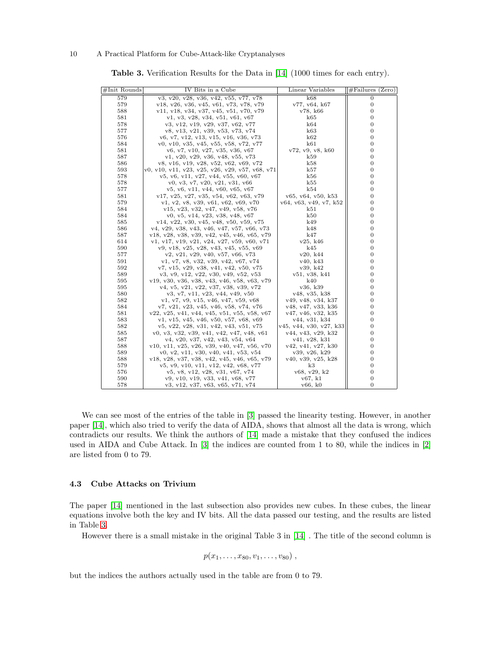| #Init Rounds | IV Bits in a Cube                               | Linear Variables        | $\#$ Failures (Zero) |
|--------------|-------------------------------------------------|-------------------------|----------------------|
| 579          | v3, v20, v28, v36, v42, v55, v77, v78           | k68                     | $\overline{0}$       |
| 579          | v18, v26, v36, v45, v61, v73, v78, v79          | v77, v64, k67           | $\boldsymbol{0}$     |
| 588          | v11, v18, v34, v37, v45, v51, v70, v79          | v78, k66                | $\overline{0}$       |
| 581          | v1, v3, v28, v34, v51, v61, v67                 | k65                     | 0                    |
| 578          | v3, v12, v19, v29, v37, v62, v77                | k64                     | $\mathbf{0}$         |
| 577          | v8, v13, v21, v39, v53, v73, v74                | k63                     | $\mathbf{0}$         |
| 576          | v6, v7, v12, v13, v15, v16, v36, v73            | k62                     | $\mathbf{0}$         |
| 584          | v0, v10, v35, v45, v55, v58, v72, v77           | k61                     | $\overline{0}$       |
| 581          | v6, v7, v10, v27, v35, v36, v67                 | v72, v9, v8, k60        | $\bf{0}$             |
| 587          | v1, v20, v29, v36, v48, v55, v73                | k59                     | $\mathbf{0}$         |
| 586          | v8, v16, v19, v28, v52, v62, v69, v72           | k58                     | $\bf{0}$             |
| 593          | v0, v10, v11, v23, v25, v26, v29, v57, v68, v71 | k57                     | $\mathbf{0}$         |
| 578          | v5, v6, v11, v27, v44, v55, v60, v67            | k56                     | $\bf{0}$             |
| 578          | v0, v3, v7, v20, v21, v31, v66                  | k55                     | $\mathbf{0}$         |
| 577          | v5, v6, v11, v44, v60, v65, v67                 | k54                     | $\bf{0}$             |
| 581          | $v17, v25, v27, v35, v54, v62, v63, v79$        | v65, v64, v50, k53      | $\mathbf{0}$         |
| 579          | v1, v2, v8, v39, v61, v62, v69, v70             | v64, v63, v49, v7, k52  | $\mathbf{0}$         |
| 584          |                                                 | k51                     | $\mathbf{0}$         |
|              | v15, v23, v32, v47, v49, v58, v76               |                         |                      |
| 584          | v0, v5, v14, v23, v38, v48, v67                 | k50                     | 0<br>$\mathbf{0}$    |
| 585          | $v14, v22, v30, v45, v48, v50, v59, v75$        | k49                     |                      |
| 586          | v4, v29, v38, v43, v46, v47, v57, v66, v73      | k48                     | $\mathbf{0}$         |
| 587          | v18, v28, v38, v39, v42, v45, v46, v65, v79     | k47                     | $\mathbf{0}$         |
| 614          | v1, v17, v19, v21, v24, v27, v59, v60, v71      | v25, k46                | $\mathbf{0}$         |
| 590          | v9, v18, v25, v28, v43, v45, v55, v69           | k45                     | $\mathbf{0}$         |
| 577          | v2, v21, v29, v40, v57, v66, v73                | v20, k44                | $\mathbf{0}$         |
| 591          | v1, v7, v8, v32, v39, v42, v67, v74             | v40, k43                | $\mathbf{0}$         |
| 592          | v7, v15, v29, v38, v41, v42, v50, v75           | v39, k42                | $\mathbf{0}$         |
| 589          | v3, v9, v12, v22, v30, v49, v52, v53            | v51, v38, k41           | $\mathbf{0}$         |
| 595          | v19, v30, v36, v38, v43, v46, v58, v63, v79     | k40                     | $\mathbf{0}$         |
| 595          | v4, v5, v21, v22, v37, v38, v39, v72            | v36, k39                | $\mathbf{0}$         |
| 580          | v3, v7, v11, v23, v44, v49, v50                 | v48, v35, k38           | $\overline{0}$       |
| 582          | v1, v7, v9, v15, v46, v47, v59, v68             | v49, v48, v34, k37      | $\mathbf{0}$         |
| 584          | v7, v21, v23, v45, v46, v58, v74, v76           | v48, v47, v33, k36      | $\mathbf{0}$         |
| 581          | $v22, v25, v41, v44, v45, v51, v55, v58, v67$   | v47, v46, v32, k35      | $\mathbf{0}$         |
| 583          | v1, v15, v45, v46, v50, v57, v68, v69           | v44, v31, k34           | $\mathbf{0}$         |
| 582          | v5, v22, v28, v31, v42, v43, v51, v75           | v45, v44, v30, v27, k33 | $\mathbf{0}$         |
| 585          | $v0, v3, v32, v39, v41, v42, v47, v48, v61$     | v44, v43, v29, k32      | 0                    |
| 587          | v4, v20, v37, v42, v43, v54, v64                | v41, v28, k31           | $\mathbf{0}$         |
| 588          | $v10, v11, v25, v26, v39, v40, v47, v56, v70$   | v42, v41, v27, k30      | $\mathbf{0}$         |
| 589          | v0, v2, v11, v30, v40, v41, v53, v54            | v39, v26, k29           | $\mathbf{0}$         |
| 588          | v18, v28, v37, v38, v42, v45, v46, v65, v79     | v40, v39, v25, k28      | $\mathbf{0}$         |
| 579          | v5, v9, v10, v11, v12, v42, v68, v77            | k3                      | $\boldsymbol{0}$     |
| 576          | v5, v8, v12, v28, v31, v67, v74                 | v68, v29, k2            | $\mathbf{0}$         |
| 590          | v9, v10, v19, v33, v41, v68, v77                | v67, k1                 | $\bf{0}$             |
| 578          | v3, v12, v37, v63, v65, v71, v74                | v66, k0                 | $\overline{0}$       |

<span id="page-9-0"></span>Table 3. Verification Results for the Data in [\[14\]](#page-11-13) (1000 times for each entry).

We can see most of the entries of the table in [\[3\]](#page-11-2) passed the linearity testing. However, in another paper [\[14\]](#page-11-13), which also tried to verify the data of AIDA, shows that almost all the data is wrong, which contradicts our results. We think the authors of [\[14\]](#page-11-13) made a mistake that they confused the indices used in AIDA and Cube Attack. In [\[3\]](#page-11-2) the indices are counted from 1 to 80, while the indices in [\[2\]](#page-11-1) are listed from 0 to 79.

## 4.3 Cube Attacks on Trivium

The paper [\[14\]](#page-11-13) mentioned in the last subsection also provides new cubes. In these cubes, the linear equations involve both the key and IV bits. All the data passed our testing, and the results are listed in Table [3.](#page-9-0)

However there is a small mistake in the original Table 3 in [\[14\]](#page-11-13) . The title of the second column is

$$
p(x_1,\ldots,x_{80},v_1,\ldots,v_{80})\ ,
$$

but the indices the authors actually used in the table are from 0 to 79.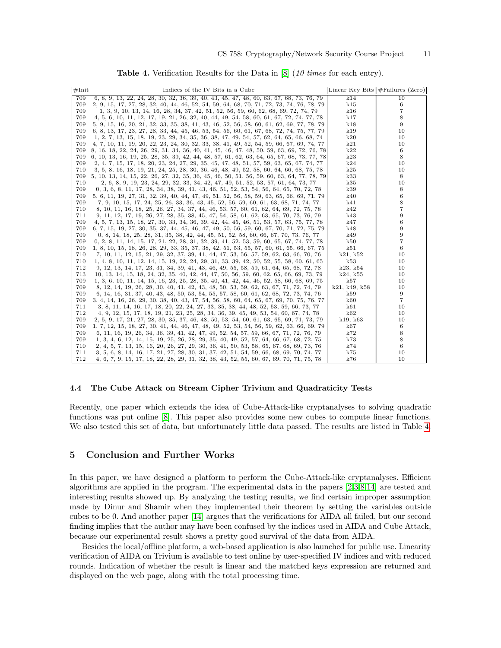| #Init | Indices of the IV Bits in a Cube                                                                         |               | Linear Key Bits $#F \text{ailures (Zero)}$ |
|-------|----------------------------------------------------------------------------------------------------------|---------------|--------------------------------------------|
| 709   | 6, 8, 9, 13, 22, 24, 28, 30, 32, 36, 39, 40, 43, 45, 47, 48, 60, 63, 67, 68, 73, 76, 79                  | k14           | 10                                         |
| 709   | 2, 9, 15, 17, 27, 28, 32, 40, 44, 46, 52, 54, 59, 64, 68, 70, 71, 72, 73, 74, 76, 78, 79                 | k15           | 6                                          |
| 709   | 1, 3, 9, 10, 13, 14, 16, 28, 34, 37, 42, 51, 52, 56, 59, 60, 62, 68, 69, 72, 74, 79                      | k16           | 7                                          |
| 709   | 4, 5, 6, 10, 11, 12, 17, 19, 21, 26, 32, 40, 44, 49, 54, 58, 60, 61, 67, 72, 74, 77, 78                  | k17           | 8                                          |
| 709   | 5, 9, 15, 16, 20, 21, 32, 33, 35, 38, 41, 43, 46, 52, 56, 58, 60, 61, 62, 69, 77, 78, 79                 | k18           | 9                                          |
| 709   | 6, 8, 13, 17, 23, 27, 28, 33, 44, 45, 46, 53, 54, 56, 60, 61, 67, 68, 72, 74, 75, 77, 79                 | k19           | 10                                         |
| 709   | 1, 2, 7, 13, 15, 18, 19, 23, 29, 34, 35, 36, 38, 47, 49, 54, 57, 62, 64, 65, 66, 68, 74                  | k20           | 10                                         |
| 709   | 4, 7, 10, 11, 19, 20, 22, 23, 24, 30, 32, 33, 38, 41, 49, 52, 54, 59, 66, 67, 69, 74, 77                 | k21           | 10                                         |
| 709   | 8, 16, 18, 22, 24, 26, 29, 31, 34, 36, 40, 41, 45, 46, 47, 48, 50, 59, 63, 69, 72, 76, 78                | k22           | 6                                          |
| 709   | 6, 10, 13, 16, 19, 25, 28, 35, 39, 42, 44, 48, 57, 61, 62, 63, 64, 65, 67, 68, 73, 77, 78                | k23           | 8                                          |
| 709   | 2, 4, 7, 15, 17, 18, 20, 23, 24, 27, 29, 35, 45, 47, 48, 51, 57, 59, 63, 65, 67, 74, 77                  | k24           | 10                                         |
| 710   | 3, 5, 8, 16, 18, 19, 21, 24, 25, 28, 30, 36, 46, 48, 49, 52, 58, 60, 64, 66, 68, 75, 78                  | k25           | 10                                         |
| 709   | $\left[5, 10, 13, 14, 15, 22, 26, 27, 32, 35, 36, 45, 46, 50, 51, 56, 59, 60, 63, 64, 77, 78, 79\right]$ | k33           | 8                                          |
| 710   | 2, 6, 8, 9, 19, 23, 24, 29, 32, 33, 34, 42, 47, 49, 51, 52, 53, 57, 61, 64, 73, 77                       | k35           | 10                                         |
| 709   | 0, 3, 6, 8, 11, 17, 28, 34, 38, 39, 41, 43, 46, 51, 52, 53, 54, 56, 64, 65, 70, 72, 78                   | k39           | 8                                          |
| 709   | 5, 6, 11, 19, 27, 31, 32, 39, 40, 44, 47, 49, 51, 52, 56, 58, 59, 63, 65, 66, 69, 71, 79                 | k40           | 6                                          |
| 709   | 7, 9, 10, 15, 17, 24, 25, 26, 33, 36, 43, 45, 52, 56, 59, 60, 61, 63, 68, 71, 74, 77                     | k41           | 8                                          |
| 710   | 8, 10, 11, 16, 18, 25, 26, 27, 34, 37, 44, 46, 53, 57, 60, 61, 62, 64, 69, 72, 75, 78                    | k42           |                                            |
| 711   | 9, 11, 12, 17, 19, 26, 27, 28, 35, 38, 45, 47, 54, 58, 61, 62, 63, 65, 70, 73, 76, 79                    | k43           | 9                                          |
| 709   | 4, 5, 7, 13, 15, 18, 27, 30, 33, 34, 36, 39, 42, 44, 45, 46, 51, 53, 57, 63, 75, 77, 78                  | k47           | 6                                          |
| 709   | 6, 7, 15, 19, 27, 30, 35, 37, 44, 45, 46, 47, 49, 50, 56, 59, 60, 67, 70, 71, 72, 75, 79                 | k48           | 9                                          |
| 709   | 0, 8, 14, 18, 25, 28, 31, 35, 38, 42, 44, 45, 51, 52, 58, 60, 66, 67, 70, 73, 76, 77                     | k49           | 9                                          |
| 709   | 0, 2, 8, 11, 14, 15, 17, 21, 22, 28, 31, 32, 39, 41, 52, 53, 59, 60, 65, 67, 74, 77, 78                  | k50           | 7                                          |
| 709   | 1, 8, 10, 15, 18, 26, 28, 29, 33, 35, 37, 38, 42, 51, 53, 55, 57, 60, 61, 65, 66, 67, 75                 | k51           | 6                                          |
| 710   | 7, 10, 11, 12, 15, 21, 29, 32, 37, 39, 41, 44, 47, 53, 56, 57, 59, 62, 63, 66, 70, 76                    | k21, k52      | 10                                         |
| 710   | 1, 4, 8, 10, 11, 12, 14, 15, 19, 22, 24, 29, 31, 33, 39, 42, 50, 52, 55, 58, 60, 61, 65                  | k53           | 10                                         |
| 712   | 9, 12, 13, 14, 17, 23, 31, 34, 39, 41, 43, 46, 49, 55, 58, 59, 61, 64, 65, 68, 72, 78                    | k23, k54      | 10                                         |
| 713   | 10, 13, 14, 15, 18, 24, 32, 35, 40, 42, 44, 47, 50, 56, 59, 60, 62, 65, 66, 69, 73, 79                   | k24, k55      | 10                                         |
| 709   | 1, 3, 6, 10, 11, 14, 15, 16, 23, 25, 28, 35, 40, 41, 42, 44, 46, 52, 58, 66, 68, 69, 75                  | k57           | 10                                         |
| 709   | 8, 12, 14, 19, 26, 28, 30, 40, 41, 42, 43, 48, 50, 53, 59, 62, 63, 67, 71, 72, 74, 79                    | k21, k49, k58 | 10                                         |
| 709   | 6, 14, 16, 31, 37, 40, 43, 48, 50, 53, 54, 55, 57, 58, 60, 61, 62, 68, 72, 73, 74, 76                    | k59           | 9                                          |
| 709   | 3, 4, 14, 16, 26, 29, 30, 38, 40, 43, 47, 54, 56, 58, 60, 64, 65, 67, 69, 70, 75, 76, 77                 | k60           | 7                                          |
| 711   | 3, 8, 11, 14, 16, 17, 18, 20, 22, 24, 27, 33, 35, 38, 44, 48, 52, 53, 59, 66, 73, 77                     | k61           | 10                                         |
| 712   | 4, 9, 12, 15, 17, 18, 19, 21, 23, 25, 28, 34, 36, 39, 45, 49, 53, 54, 60, 67, 74, 78                     | k62           | 10                                         |
| 709   | 2, 5, 9, 17, 21, 27, 28, 30, 35, 37, 46, 48, 50, 53, 54, 60, 61, 63, 65, 69, 71, 73, 79                  | k19, k63      | 10                                         |
| 709   | 1, 7, 12, 15, 18, 27, 30, 41, 44, 46, 47, 48, 49, 52, 53, 54, 56, 59, 62, 63, 66, 69, 79                 | k67           | 6                                          |
| 709   | 6, 11, 16, 19, 26, 34, 36, 39, 41, 42, 47, 49, 52, 54, 57, 59, 66, 67, 71, 72, 76, 79                    | k72           | 8                                          |
| 709   | 1, 3, 4, 6, 12, 14, 15, 19, 25, 26, 28, 29, 35, 40, 49, 52, 57, 64, 66, 67, 68, 72, 75                   | k73           | 8                                          |
| 710   | 2, 4, 5, 7, 13, 15, 16, 20, 26, 27, 29, 30, 36, 41, 50, 53, 58, 65, 67, 68, 69, 73, 76                   | k74           | 6                                          |
| 711   | 3, 5, 6, 8, 14, 16, 17, 21, 27, 28, 30, 31, 37, 42, 51, 54, 59, 66, 68, 69, 70, 74, 77                   | k75           | 10                                         |
| 712   | 4, 6, 7, 9, 15, 17, 18, 22, 28, 29, 31, 32, 38, 43, 52, 55, 60, 67, 69, 70, 71, 75, 78                   | k76           | 10                                         |

<span id="page-10-0"></span>Table 4. Verification Results for the Data in [\[8\]](#page-11-7) (10 times for each entry).

#### 4.4 The Cube Attack on Stream Cipher Trivium and Quadraticity Tests

Recently, one paper which extends the idea of Cube-Attack-like cryptanalyses to solving quadratic functions was put online [\[8\]](#page-11-7). This paper also provides some new cubes to compute linear functions. We also tested this set of data, but unfortunately little data passed. The results are listed in Table [4.](#page-10-0)

# 5 Conclusion and Further Works

In this paper, we have designed a platform to perform the Cube-Attack-like cryptanalyses. Efficient algorithms are applied in the program. The experimental data in the papers [\[2,](#page-11-1)[3,](#page-11-2)[8,](#page-11-7)[14\]](#page-11-13) are tested and interesting results showed up. By analyzing the testing results, we find certain improper assumption made by Dinur and Shamir when they implemented their theorem by setting the variables outside cubes to be 0. And another paper [\[14\]](#page-11-13) argues that the verifications for AIDA all failed, but our second finding implies that the author may have been confused by the indices used in AIDA and Cube Attack, because our experimental result shows a pretty good survival of the data from AIDA.

Besides the local/offline platform, a web-based application is also launched for public use. Linearity verification of AIDA on Trivium is available to test online by user-specified IV indices and with reduced rounds. Indication of whether the result is linear and the matched keys expression are returned and displayed on the web page, along with the total processing time.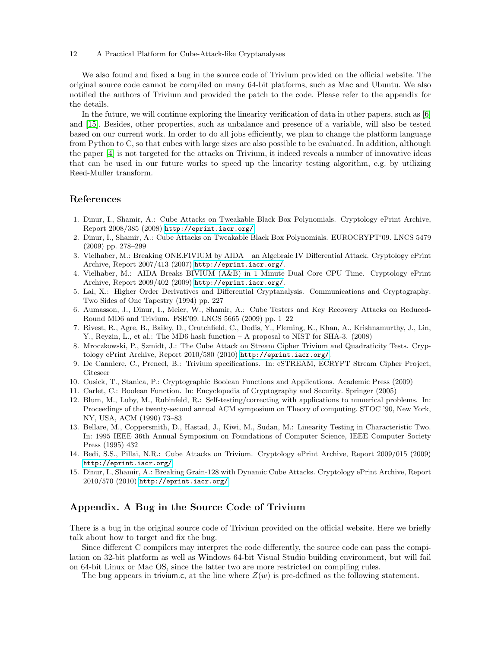We also found and fixed a bug in the source code of Trivium provided on the official website. The original source code cannot be compiled on many 64-bit platforms, such as Mac and Ubuntu. We also notified the authors of Trivium and provided the patch to the code. Please refer to the appendix for the details.

In the future, we will continue exploring the linearity verification of data in other papers, such as [\[6\]](#page-11-5) and [\[15\]](#page-11-14). Besides, other properties, such as unbalance and presence of a variable, will also be tested based on our current work. In order to do all jobs efficiently, we plan to change the platform language from Python to C, so that cubes with large sizes are also possible to be evaluated. In addition, although the paper [\[4\]](#page-11-3) is not targeted for the attacks on Trivium, it indeed reveals a number of innovative ideas that can be used in our future works to speed up the linearity testing algorithm, e.g. by utilizing Reed-Muller transform.

# References

- <span id="page-11-0"></span>1. Dinur, I., Shamir, A.: Cube Attacks on Tweakable Black Box Polynomials. Cryptology ePrint Archive, Report 2008/385 (2008) <http://eprint.iacr.org/>.
- <span id="page-11-1"></span>2. Dinur, I., Shamir, A.: Cube Attacks on Tweakable Black Box Polynomials. EUROCRYPT'09. LNCS 5479 (2009) pp. 278–299
- <span id="page-11-2"></span>3. Vielhaber, M.: Breaking ONE.FIVIUM by AIDA – an Algebraic IV Differential Attack. Cryptology ePrint Archive, Report 2007/413 (2007) <http://eprint.iacr.org/>.
- <span id="page-11-3"></span>4. Vielhaber, M.: AIDA Breaks BIVIUM (A&B) in 1 Minute Dual Core CPU Time. Cryptology ePrint Archive, Report 2009/402 (2009) <http://eprint.iacr.org/>.
- <span id="page-11-4"></span>5. Lai, X.: Higher Order Derivatives and Differential Cryptanalysis. Communications and Cryptography: Two Sides of One Tapestry (1994) pp. 227
- <span id="page-11-5"></span>6. Aumasson, J., Dinur, I., Meier, W., Shamir, A.: Cube Testers and Key Recovery Attacks on Reduced-Round MD6 and Trivium. FSE'09. LNCS 5665 (2009) pp. 1–22
- <span id="page-11-6"></span>7. Rivest, R., Agre, B., Bailey, D., Crutchfield, C., Dodis, Y., Fleming, K., Khan, A., Krishnamurthy, J., Lin, Y., Reyzin, L., et al.: The MD6 hash function – A proposal to NIST for SHA-3. (2008)
- <span id="page-11-7"></span>8. Mroczkowski, P., Szmidt, J.: The Cube Attack on Stream Cipher Trivium and Quadraticity Tests. Cryptology ePrint Archive, Report 2010/580 (2010) <http://eprint.iacr.org/>.
- <span id="page-11-8"></span>9. De Canniere, C., Preneel, B.: Trivium specifications. In: eSTREAM, ECRYPT Stream Cipher Project, Citeseer
- <span id="page-11-9"></span>10. Cusick, T., Stanica, P.: Cryptographic Boolean Functions and Applications. Academic Press (2009)
- <span id="page-11-10"></span>11. Carlet, C.: Boolean Function. In: Encyclopedia of Cryptography and Security. Springer (2005)
- <span id="page-11-11"></span>12. Blum, M., Luby, M., Rubinfeld, R.: Self-testing/correcting with applications to numerical problems. In: Proceedings of the twenty-second annual ACM symposium on Theory of computing. STOC '90, New York, NY, USA, ACM (1990) 73–83
- <span id="page-11-12"></span>13. Bellare, M., Coppersmith, D., Hastad, J., Kiwi, M., Sudan, M.: Linearity Testing in Characteristic Two. In: 1995 IEEE 36th Annual Symposium on Foundations of Computer Science, IEEE Computer Society Press (1995) 432
- <span id="page-11-13"></span>14. Bedi, S.S., Pillai, N.R.: Cube Attacks on Trivium. Cryptology ePrint Archive, Report 2009/015 (2009) <http://eprint.iacr.org/>.
- <span id="page-11-14"></span>15. Dinur, I., Shamir, A.: Breaking Grain-128 with Dynamic Cube Attacks. Cryptology ePrint Archive, Report 2010/570 (2010) <http://eprint.iacr.org/>.

## Appendix. A Bug in the Source Code of Trivium

There is a bug in the original source code of Trivium provided on the official website. Here we briefly talk about how to target and fix the bug.

Since different C compilers may interpret the code differently, the source code can pass the compilation on 32-bit platform as well as Windows 64-bit Visual Studio building environment, but will fail on 64-bit Linux or Mac OS, since the latter two are more restricted on compiling rules.

The bug appears in trivium.c, at the line where  $Z(w)$  is pre-defined as the following statement.